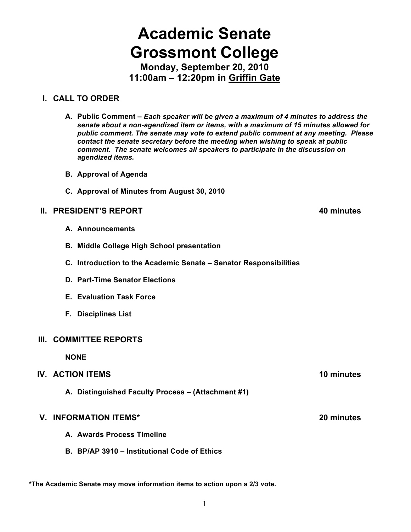## 1

# **Academic Senate Grossmont College**

**Monday, September 20, 2010 11:00am – 12:20pm in Griffin Gate**

## **I. CALL TO ORDER**

- **A. Public Comment –** *Each speaker will be given a maximum of 4 minutes to address the senate about a non-agendized item or items, with a maximum of 15 minutes allowed for public comment. The senate may vote to extend public comment at any meeting. Please contact the senate secretary before the meeting when wishing to speak at public comment. The senate welcomes all speakers to participate in the discussion on agendized items.*
- **B. Approval of Agenda**
- **C. Approval of Minutes from August 30, 2010**

## **II. PRESIDENT'S REPORT 40 minutes**

- **A. Announcements**
- **B. Middle College High School presentation**
- **C. Introduction to the Academic Senate – Senator Responsibilities**
- **D. Part-Time Senator Elections**
- **E. Evaluation Task Force**
- **F. Disciplines List**

## **III. COMMITTEE REPORTS**

**NONE**

## **IV. ACTION ITEMS 10 minutes**

**A. Distinguished Faculty Process – (Attachment #1)**

## **V. INFORMATION ITEMS\* 20 minutes**

- **A. Awards Process Timeline**
- **B. BP/AP 3910 – Institutional Code of Ethics**

**\*The Academic Senate may move information items to action upon a 2/3 vote.**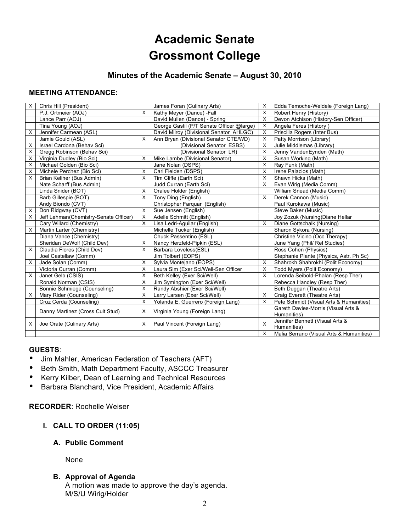## **Academic Senate Grossmont College**

## **Minutes of the Academic Senate – August 30, 2010**

#### **MEETING ATTENDANCE:**

| X | Chris Hill (President)                |          | James Foran (Culinary Arts)               | X | Edda Temoche-Weldele (Foreign Lang)      |
|---|---------------------------------------|----------|-------------------------------------------|---|------------------------------------------|
|   | P.J. Ortmeier (AOJ)                   | X        | Kathy Meyer (Dance) -Fall                 | X | Robert Henry (History)                   |
|   | Lance Parr (AOJ)                      |          | David Mullen (Dance) - Spring             | X | Devon Atchison (History-Sen Officer)     |
|   | Tina Young (AOJ)                      |          | George Gastil (P/T Senate Officer @large) | X | Angela Feres (History)                   |
| X | Jennifer Carmean (ASL)                |          | David Milroy (Divisional Senator AHLGC)   | X | Priscilla Rogers (Inter Bus)             |
|   | Jamie Gould (ASL)                     | $\times$ | Ann Bryan (Divisional Senator CTE/WD)     | X | Patty Morrison (Library)                 |
| X | Israel Cardona (Behav Sci)            |          | (Divisional Senator ESBS)                 | X | Julie Middlemas (Library)                |
| X | Gregg Robinson (Behav Sci)            |          | (Divisional Senator LR)                   | X | Jenny VandenEynden (Math)                |
| X | Virginia Dudley (Bio Sci)             | X        | Mike Lambe (Divisional Senator)           | X | Susan Working (Math)                     |
| X | Michael Golden (Bio Sci)              |          | Jane Nolan (DSPS)                         | X | Ray Funk (Math)                          |
| X | Michele Perchez (Bio Sci)             | X        | Carl Fielden (DSPS)                       | X | Irene Palacios (Math)                    |
| X | Brian Keliher (Bus Admin)             | X        | Tim Cliffe (Earth Sci)                    | X | Shawn Hicks (Math)                       |
|   | Nate Scharff (Bus Admin)              |          | Judd Curran (Earth Sci)                   | X | Evan Wirig (Media Comm)                  |
|   | Linda Snider (BOT)                    | X        | Oralee Holder (English)                   |   | William Snead (Media Comm)               |
|   | Barb Gillespie (BOT)                  | X        | Tony Ding (English)                       | X | Derek Cannon (Music)                     |
|   | Andy Biondo (CVT)                     |          | Christopher Farquar (English)             |   | Paul Kurokawa (Music)                    |
| X | Don Ridgway (CVT)                     | X        | Sue Jensen (English)                      |   | Steve Baker (Music)                      |
| X | Jeff Lehman(Chemistry-Senate Officer) | X        | Adelle Schmitt (English)                  |   | Joy Zozuk (Nursing) Diane Hellar         |
|   | Cary Willard (Chemistry)              | $\times$ | Lisa Ledri-Aguilar (English)              | X | Diane Gottschalk (Nursing)               |
| X | Martin Larter (Chemistry)             |          | Michelle Tucker (English)                 |   | Sharon Sykora (Nursing)                  |
|   | Diana Vance (Chemistry)               |          | Chuck Passentino (ESL)                    |   | Christine Vicino (Occ Therapy)           |
|   | Sheridan DeWolf (Child Dev)           | X        | Nancy Herzfeld-Pipkin (ESL)               |   | June Yang (Phil/ Rel Studies)            |
| X | Claudia Flores (Child Dev)            | X        | Barbara Loveless(ESL)                     |   | Ross Cohen (Physics)                     |
|   | Joel Castellaw (Comm)                 |          | Jim Tolbert (EOPS)                        |   | Stephanie Plante (Physics, Astr. Ph Sc)  |
| X | Jade Solan (Comm)                     | X        | Sylvia Montejano (EOPS)                   | X | Shahrokh Shahrokhi (Polit Economy)       |
|   | Victoria Curran (Comm)                | X        | Laura Sim (Exer Sci/Well-Sen Officer      | X | Todd Myers (Polit Economy)               |
| X | Janet Gelb (CSIS)                     | X        | Beth Kelley (Exer Sci/Well)               | X | Lorenda Seibold-Phalan (Resp Ther)       |
|   | Ronald Norman (CSIS)                  | X        | Jim Symington (Exer Sci/Well)             |   | Rebecca Handley (Resp Ther)              |
|   | Bonnie Schmiege (Counseling)          | X        | Randy Abshier (Exer Sci/Well)             |   | Beth Duggan (Theatre Arts)               |
| X | Mary Rider (Counseling)               | X        | Larry Larsen (Exer Sci/Well)              | X | Craig Everett (Theatre Arts)             |
|   | Cruz Cerda (Counseling)               | $\times$ | Yolanda E. Guerrero (Foreign Lang)        | X | Pete Schmidt (Visual Arts & Humanities)  |
|   | Danny Martinez (Cross Cult Stud)      | X        | Virginia Young (Foreign Lang)             |   | Gareth Davies-Morris (Visual Arts &      |
|   |                                       |          |                                           |   | Humanities)                              |
| х | Joe Orate (Culinary Arts)             | X        | Paul Vincent (Foreign Lang)               | X | Jennifer Bennett (Visual Arts &          |
|   |                                       |          |                                           |   | Humanities)                              |
|   |                                       |          |                                           | X | Malia Serrano (Visual Arts & Humanities) |

#### **GUESTS**:

- Jim Mahler, American Federation of Teachers (AFT)
- Beth Smith, Math Department Faculty, ASCCC Treasurer
- Kerry Kilber, Dean of Learning and Technical Resources
- Barbara Blanchard, Vice President, Academic Affairs

**RECORDER**: Rochelle Weiser

#### **I. CALL TO ORDER (11:05)**

#### **A. Public Comment**

None

#### **B. Approval of Agenda**

A motion was made to approve the day's agenda. M/S/U Wirig/Holder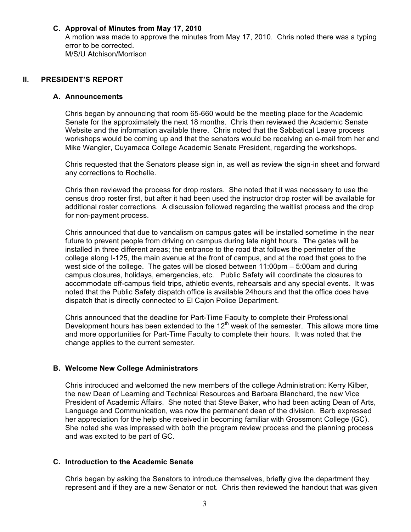#### **C. Approval of Minutes from May 17, 2010**

A motion was made to approve the minutes from May 17, 2010. Chris noted there was a typing error to be corrected. M/S/U Atchison/Morrison

#### **II. PRESIDENT'S REPORT**

#### **A. Announcements**

Chris began by announcing that room 65-660 would be the meeting place for the Academic Senate for the approximately the next 18 months. Chris then reviewed the Academic Senate Website and the information available there. Chris noted that the Sabbatical Leave process workshops would be coming up and that the senators would be receiving an e-mail from her and Mike Wangler, Cuyamaca College Academic Senate President, regarding the workshops.

Chris requested that the Senators please sign in, as well as review the sign-in sheet and forward any corrections to Rochelle.

Chris then reviewed the process for drop rosters. She noted that it was necessary to use the census drop roster first, but after it had been used the instructor drop roster will be available for additional roster corrections. A discussion followed regarding the waitlist process and the drop for non-payment process.

Chris announced that due to vandalism on campus gates will be installed sometime in the near future to prevent people from driving on campus during late night hours. The gates will be installed in three different areas; the entrance to the road that follows the perimeter of the college along I-125, the main avenue at the front of campus, and at the road that goes to the west side of the college. The gates will be closed between 11:00pm – 5:00am and during campus closures, holidays, emergencies, etc. Public Safety will coordinate the closures to accommodate off-campus field trips, athletic events, rehearsals and any special events. It was noted that the Public Safety dispatch office is available 24hours and that the office does have dispatch that is directly connected to El Cajon Police Department.

Chris announced that the deadline for Part-Time Faculty to complete their Professional Development hours has been extended to the  $12<sup>th</sup>$  week of the semester. This allows more time and more opportunities for Part-Time Faculty to complete their hours. It was noted that the change applies to the current semester.

#### **B. Welcome New College Administrators**

Chris introduced and welcomed the new members of the college Administration: Kerry Kilber, the new Dean of Learning and Technical Resources and Barbara Blanchard, the new Vice President of Academic Affairs. She noted that Steve Baker, who had been acting Dean of Arts, Language and Communication, was now the permanent dean of the division. Barb expressed her appreciation for the help she received in becoming familiar with Grossmont College (GC). She noted she was impressed with both the program review process and the planning process and was excited to be part of GC.

#### **C. Introduction to the Academic Senate**

Chris began by asking the Senators to introduce themselves, briefly give the department they represent and if they are a new Senator or not. Chris then reviewed the handout that was given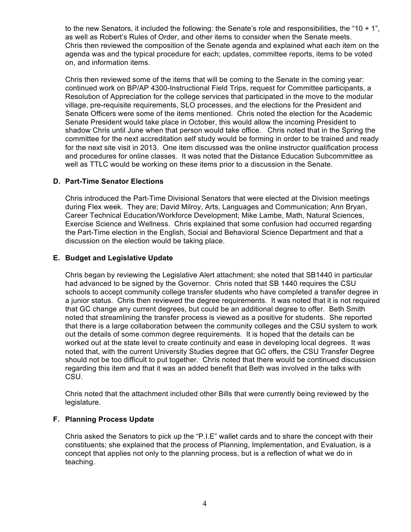to the new Senators, it included the following: the Senate's role and responsibilities, the "10 + 1", as well as Robert's Rules of Order, and other items to consider when the Senate meets. Chris then reviewed the composition of the Senate agenda and explained what each item on the agenda was and the typical procedure for each; updates, committee reports, items to be voted on, and information items.

Chris then reviewed some of the items that will be coming to the Senate in the coming year: continued work on BP/AP 4300-Instructional Field Trips, request for Committee participants, a Resolution of Appreciation for the college services that participated in the move to the modular village, pre-requisite requirements, SLO processes, and the elections for the President and Senate Officers were some of the items mentioned. Chris noted the election for the Academic Senate President would take place in October, this would allow the incoming President to shadow Chris until June when that person would take office. Chris noted that in the Spring the committee for the next accreditation self study would be forming in order to be trained and ready for the next site visit in 2013. One item discussed was the online instructor qualification process and procedures for online classes. It was noted that the Distance Education Subcommittee as well as TTLC would be working on these items prior to a discussion in the Senate.

#### **D. Part-Time Senator Elections**

Chris introduced the Part-Time Divisional Senators that were elected at the Division meetings during Flex week. They are; David Milroy, Arts, Languages and Communication; Ann Bryan, Career Technical Education/Workforce Development; Mike Lambe, Math, Natural Sciences, Exercise Science and Wellness. Chris explained that some confusion had occurred regarding the Part-Time election in the English, Social and Behavioral Science Department and that a discussion on the election would be taking place.

#### **E. Budget and Legislative Update**

Chris began by reviewing the Legislative Alert attachment; she noted that SB1440 in particular had advanced to be signed by the Governor. Chris noted that SB 1440 requires the CSU schools to accept community college transfer students who have completed a transfer degree in a junior status. Chris then reviewed the degree requirements. It was noted that it is not required that GC change any current degrees, but could be an additional degree to offer. Beth Smith noted that streamlining the transfer process is viewed as a positive for students. She reported that there is a large collaboration between the community colleges and the CSU system to work out the details of some common degree requirements. It is hoped that the details can be worked out at the state level to create continuity and ease in developing local degrees. It was noted that, with the current University Studies degree that GC offers, the CSU Transfer Degree should not be too difficult to put together. Chris noted that there would be continued discussion regarding this item and that it was an added benefit that Beth was involved in the talks with CSU.

Chris noted that the attachment included other Bills that were currently being reviewed by the legislature.

#### **F. Planning Process Update**

Chris asked the Senators to pick up the "P.I.E" wallet cards and to share the concept with their constituents; she explained that the process of Planning, Implementation, and Evaluation, is a concept that applies not only to the planning process, but is a reflection of what we do in teaching.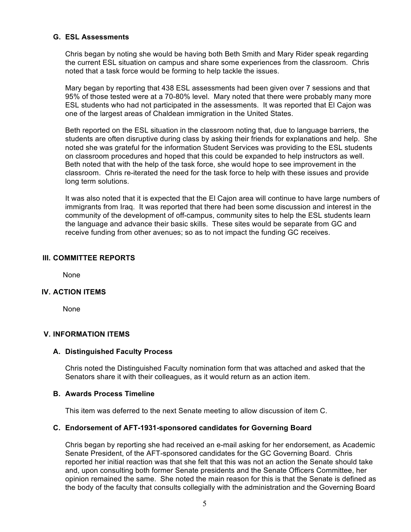#### **G. ESL Assessments**

Chris began by noting she would be having both Beth Smith and Mary Rider speak regarding the current ESL situation on campus and share some experiences from the classroom. Chris noted that a task force would be forming to help tackle the issues.

Mary began by reporting that 438 ESL assessments had been given over 7 sessions and that 95% of those tested were at a 70-80% level. Mary noted that there were probably many more ESL students who had not participated in the assessments. It was reported that El Cajon was one of the largest areas of Chaldean immigration in the United States.

Beth reported on the ESL situation in the classroom noting that, due to language barriers, the students are often disruptive during class by asking their friends for explanations and help. She noted she was grateful for the information Student Services was providing to the ESL students on classroom procedures and hoped that this could be expanded to help instructors as well. Beth noted that with the help of the task force, she would hope to see improvement in the classroom. Chris re-iterated the need for the task force to help with these issues and provide long term solutions.

It was also noted that it is expected that the El Cajon area will continue to have large numbers of immigrants from Iraq. It was reported that there had been some discussion and interest in the community of the development of off-campus, community sites to help the ESL students learn the language and advance their basic skills. These sites would be separate from GC and receive funding from other avenues; so as to not impact the funding GC receives.

#### **III. COMMITTEE REPORTS**

None

#### **IV. ACTION ITEMS**

None

#### **V. INFORMATION ITEMS**

#### **A. Distinguished Faculty Process**

Chris noted the Distinguished Faculty nomination form that was attached and asked that the Senators share it with their colleagues, as it would return as an action item.

#### **B. Awards Process Timeline**

This item was deferred to the next Senate meeting to allow discussion of item C.

#### **C. Endorsement of AFT-1931-sponsored candidates for Governing Board**

Chris began by reporting she had received an e-mail asking for her endorsement, as Academic Senate President, of the AFT-sponsored candidates for the GC Governing Board. Chris reported her initial reaction was that she felt that this was not an action the Senate should take and, upon consulting both former Senate presidents and the Senate Officers Committee, her opinion remained the same. She noted the main reason for this is that the Senate is defined as the body of the faculty that consults collegially with the administration and the Governing Board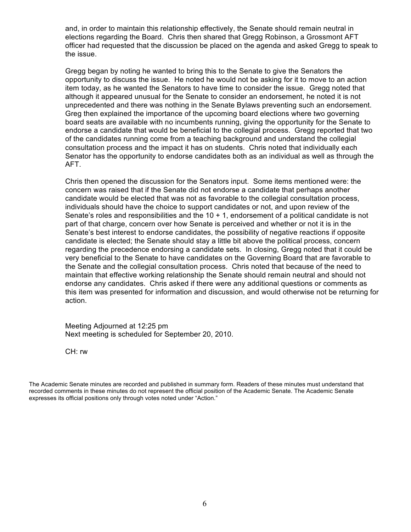and, in order to maintain this relationship effectively, the Senate should remain neutral in elections regarding the Board. Chris then shared that Gregg Robinson, a Grossmont AFT officer had requested that the discussion be placed on the agenda and asked Gregg to speak to the issue.

Gregg began by noting he wanted to bring this to the Senate to give the Senators the opportunity to discuss the issue. He noted he would not be asking for it to move to an action item today, as he wanted the Senators to have time to consider the issue. Gregg noted that although it appeared unusual for the Senate to consider an endorsement, he noted it is not unprecedented and there was nothing in the Senate Bylaws preventing such an endorsement. Greg then explained the importance of the upcoming board elections where two governing board seats are available with no incumbents running, giving the opportunity for the Senate to endorse a candidate that would be beneficial to the collegial process. Gregg reported that two of the candidates running come from a teaching background and understand the collegial consultation process and the impact it has on students. Chris noted that individually each Senator has the opportunity to endorse candidates both as an individual as well as through the AFT.

Chris then opened the discussion for the Senators input. Some items mentioned were: the concern was raised that if the Senate did not endorse a candidate that perhaps another candidate would be elected that was not as favorable to the collegial consultation process, individuals should have the choice to support candidates or not, and upon review of the Senate's roles and responsibilities and the  $10 + 1$ , endorsement of a political candidate is not part of that charge, concern over how Senate is perceived and whether or not it is in the Senate's best interest to endorse candidates, the possibility of negative reactions if opposite candidate is elected; the Senate should stay a little bit above the political process, concern regarding the precedence endorsing a candidate sets. In closing, Gregg noted that it could be very beneficial to the Senate to have candidates on the Governing Board that are favorable to the Senate and the collegial consultation process. Chris noted that because of the need to maintain that effective working relationship the Senate should remain neutral and should not endorse any candidates. Chris asked if there were any additional questions or comments as this item was presented for information and discussion, and would otherwise not be returning for action.

Meeting Adjourned at 12:25 pm Next meeting is scheduled for September 20, 2010.

CH: rw

The Academic Senate minutes are recorded and published in summary form. Readers of these minutes must understand that recorded comments in these minutes do not represent the official position of the Academic Senate. The Academic Senate expresses its official positions only through votes noted under "Action."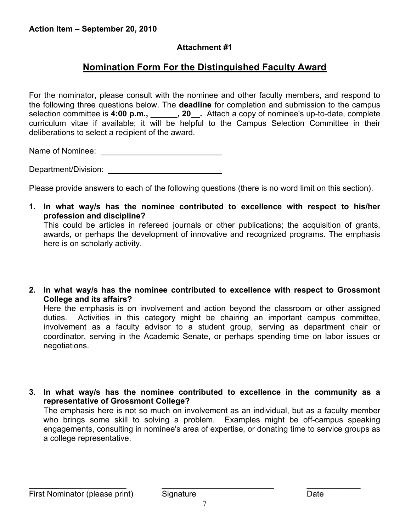## **Attachment #1**

## **Nomination Form For the Distinguished Faculty Award**

For the nominator, please consult with the nominee and other faculty members, and respond to the following three questions below. The **deadline** for completion and submission to the campus selection committee is **4:00 p.m., \_\_\_\_\_\_, 20\_\_.** Attach a copy of nominee's up-to-date, complete curriculum vitae if available; it will be helpful to the Campus Selection Committee in their deliberations to select a recipient of the award.

Name of Nominee: \_

Department/Division:

Please provide answers to each of the following questions (there is no word limit on this section).

**1. In what way/s has the nominee contributed to excellence with respect to his/her profession and discipline?** This could be articles in refereed journals or other publications; the acquisition of grants,

awards, or perhaps the development of innovative and recognized programs. The emphasis here is on scholarly activity.

**2. In what way/s has the nominee contributed to excellence with respect to Grossmont College and its affairs?**

Here the emphasis is on involvement and action beyond the classroom or other assigned duties. Activities in this category might be chairing an important campus committee, involvement as a faculty advisor to a student group, serving as department chair or coordinator, serving in the Academic Senate, or perhaps spending time on labor issues or negotiations.

**3. In what way/s has the nominee contributed to excellence in the community as a representative of Grossmont College?** The emphasis here is not so much on involvement as an individual, but as a faculty member who brings some skill to solving a problem. Examples might be off-campus speaking engagements, consulting in nominee's area of expertise, or donating time to service groups as a college representative.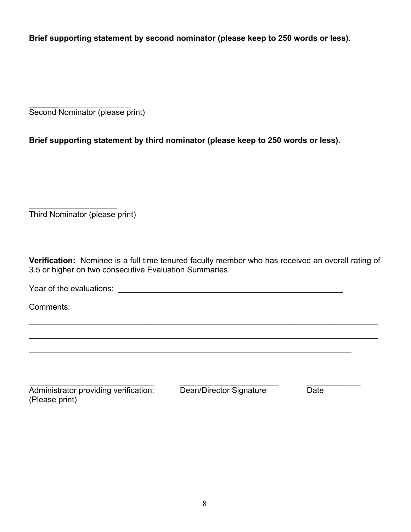**Brief supporting statement by second nominator (please keep to 250 words or less).**

 $\frac{1}{2}$ Second Nominator (please print)

**Brief supporting statement by third nominator (please keep to 250 words or less).**

 $\frac{1}{2}$ Third Nominator (please print)

**Verification:** Nominee is a full time tenured faculty member who has received an overall rating of 3.5 or higher on two consecutive Evaluation Summaries.

 $\mathcal{L}_\mathcal{L} = \mathcal{L}_\mathcal{L} = \mathcal{L}_\mathcal{L} = \mathcal{L}_\mathcal{L} = \mathcal{L}_\mathcal{L} = \mathcal{L}_\mathcal{L} = \mathcal{L}_\mathcal{L} = \mathcal{L}_\mathcal{L} = \mathcal{L}_\mathcal{L} = \mathcal{L}_\mathcal{L} = \mathcal{L}_\mathcal{L} = \mathcal{L}_\mathcal{L} = \mathcal{L}_\mathcal{L} = \mathcal{L}_\mathcal{L} = \mathcal{L}_\mathcal{L} = \mathcal{L}_\mathcal{L} = \mathcal{L}_\mathcal{L}$ 

 $\mathcal{L}_\mathcal{L} = \mathcal{L}_\mathcal{L} = \mathcal{L}_\mathcal{L} = \mathcal{L}_\mathcal{L} = \mathcal{L}_\mathcal{L} = \mathcal{L}_\mathcal{L} = \mathcal{L}_\mathcal{L} = \mathcal{L}_\mathcal{L} = \mathcal{L}_\mathcal{L} = \mathcal{L}_\mathcal{L} = \mathcal{L}_\mathcal{L} = \mathcal{L}_\mathcal{L} = \mathcal{L}_\mathcal{L} = \mathcal{L}_\mathcal{L} = \mathcal{L}_\mathcal{L} = \mathcal{L}_\mathcal{L} = \mathcal{L}_\mathcal{L}$ 

 $\mathcal{L}_\text{max} = \mathcal{L}_\text{max} = \mathcal{L}_\text{max} = \mathcal{L}_\text{max} = \mathcal{L}_\text{max} = \mathcal{L}_\text{max} = \mathcal{L}_\text{max} = \mathcal{L}_\text{max} = \mathcal{L}_\text{max} = \mathcal{L}_\text{max} = \mathcal{L}_\text{max} = \mathcal{L}_\text{max} = \mathcal{L}_\text{max} = \mathcal{L}_\text{max} = \mathcal{L}_\text{max} = \mathcal{L}_\text{max} = \mathcal{L}_\text{max} = \mathcal{L}_\text{max} = \mathcal{$ 

Year of the evaluations:

Comments:

\_\_\_\_\_\_\_\_\_\_\_\_\_\_\_\_\_\_\_\_\_\_\_\_\_\_\_\_ \_\_\_\_\_\_\_\_\_\_\_\_\_\_\_\_\_\_\_\_\_\_ \_\_\_\_\_\_\_\_\_\_\_\_ Administrator providing verification: Dean/Director Signature Date (Please print)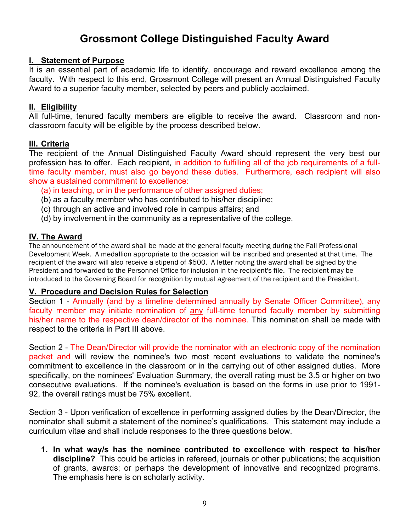## **Grossmont College Distinguished Faculty Award**

#### **I. Statement of Purpose**

It is an essential part of academic life to identify, encourage and reward excellence among the faculty. With respect to this end, Grossmont College will present an Annual Distinguished Faculty Award to a superior faculty member, selected by peers and publicly acclaimed.

#### **II. Eligibility**

All full-time, tenured faculty members are eligible to receive the award. Classroom and nonclassroom faculty will be eligible by the process described below.

## **III. Criteria**

The recipient of the Annual Distinguished Faculty Award should represent the very best our profession has to offer. Each recipient, in addition to fulfilling all of the job requirements of a fulltime faculty member, must also go beyond these duties. Furthermore, each recipient will also show a sustained commitment to excellence:

- (a) in teaching, or in the performance of other assigned duties;
- (b) as a faculty member who has contributed to his/her discipline;
- (c) through an active and involved role in campus affairs; and
- (d) by involvement in the community as a representative of the college.

## **IV. The Award**

The announcement of the award shall be made at the general faculty meeting during the Fall Professional Development Week. A medallion appropriate to the occasion will be inscribed and presented at that time. The recipient of the award will also receive a stipend of \$500. A letter noting the award shall be signed by the President and forwarded to the Personnel Office for inclusion in the recipient's file. The recipient may be introduced to the Governing Board for recognition by mutual agreement of the recipient and the President.

## **V. Procedure and Decision Rules for Selection**

Section 1 - Annually (and by a timeline determined annually by Senate Officer Committee), any faculty member may initiate nomination of any full-time tenured faculty member by submitting his/her name to the respective dean/director of the nominee. This nomination shall be made with respect to the criteria in Part III above.

Section 2 - The Dean/Director will provide the nominator with an electronic copy of the nomination packet and will review the nominee's two most recent evaluations to validate the nominee's commitment to excellence in the classroom or in the carrying out of other assigned duties. More specifically, on the nominees' Evaluation Summary, the overall rating must be 3.5 or higher on two consecutive evaluations. If the nominee's evaluation is based on the forms in use prior to 1991- 92, the overall ratings must be 75% excellent.

Section 3 - Upon verification of excellence in performing assigned duties by the Dean/Director, the nominator shall submit a statement of the nominee's qualifications. This statement may include a curriculum vitae and shall include responses to the three questions below.

**1. In what way/s has the nominee contributed to excellence with respect to his/her discipline?** This could be articles in refereed, journals or other publications; the acquisition of grants, awards; or perhaps the development of innovative and recognized programs. The emphasis here is on scholarly activity.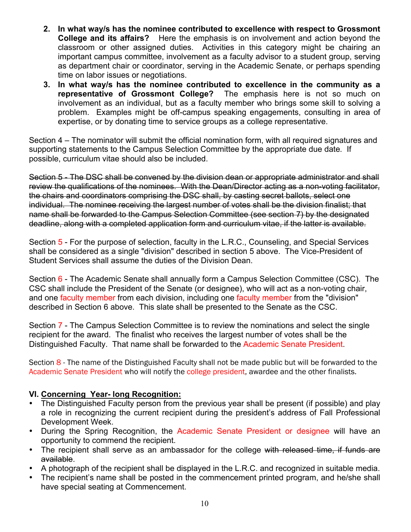- **2. In what way/s has the nominee contributed to excellence with respect to Grossmont College and its affairs?** Here the emphasis is on involvement and action beyond the classroom or other assigned duties. Activities in this category might be chairing an important campus committee, involvement as a faculty advisor to a student group, serving as department chair or coordinator, serving in the Academic Senate, or perhaps spending time on labor issues or negotiations.
- **3. In what way/s has the nominee contributed to excellence in the community as a representative of Grossmont College?** The emphasis here is not so much on involvement as an individual, but as a faculty member who brings some skill to solving a problem. Examples might be off-campus speaking engagements, consulting in area of expertise, or by donating time to service groups as a college representative.

Section 4 – The nominator will submit the official nomination form, with all required signatures and supporting statements to the Campus Selection Committee by the appropriate due date*.* If possible, curriculum vitae should also be included.

Section 5 - The DSC shall be convened by the division dean or appropriate administrator and shall review the qualifications of the nominees. With the Dean/Director acting as a non-voting facilitator, the chairs and coordinators comprising the DSC shall, by casting secret ballots, select one individual. The nominee receiving the largest number of votes shall be the division finalist; that name shall be forwarded to the Campus Selection Committee (see section 7) by the designated deadline, along with a completed application form and curriculum vitae, if the latter is available.

Section 5 - For the purpose of selection, faculty in the L.R.C., Counseling, and Special Services shall be considered as a single "division" described in section 5 above. The Vice-President of Student Services shall assume the duties of the Division Dean.

Section 6 - The Academic Senate shall annually form a Campus Selection Committee (CSC). The CSC shall include the President of the Senate (or designee), who will act as a non-voting chair, and one faculty member from each division, including one faculty member from the "division" described in Section 6 above. This slate shall be presented to the Senate as the CSC.

Section 7 - The Campus Selection Committee is to review the nominations and select the single recipient for the award. The finalist who receives the largest number of votes shall be the Distinguished Faculty. That name shall be forwarded to the Academic Senate President.

Section 8 - The name of the Distinguished Faculty shall not be made public but will be forwarded to the Academic Senate President who will notify the college president, awardee and the other finalists.

## **VI. Concerning Year- long Recognition:**

- The Distinguished Faculty person from the previous year shall be present (if possible) and play a role in recognizing the current recipient during the president's address of Fall Professional Development Week.
- During the Spring Recognition, the Academic Senate President or designee will have an opportunity to commend the recipient.
- The recipient shall serve as an ambassador for the college with released time, if funds are available.
- A photograph of the recipient shall be displayed in the L.R.C. and recognized in suitable media.
- The recipient's name shall be posted in the commencement printed program, and he/she shall have special seating at Commencement.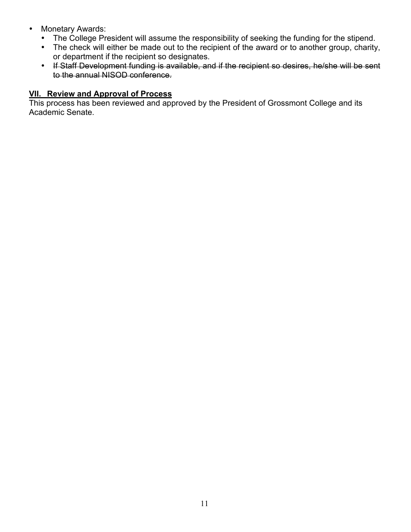- Monetary Awards:
	- The College President will assume the responsibility of seeking the funding for the stipend.
	- The check will either be made out to the recipient of the award or to another group, charity, or department if the recipient so designates.
	- If Staff Development funding is available, and if the recipient so desires, he/she will be sent to the annual NISOD conference.

## **VII. Review and Approval of Process**

This process has been reviewed and approved by the President of Grossmont College and its Academic Senate.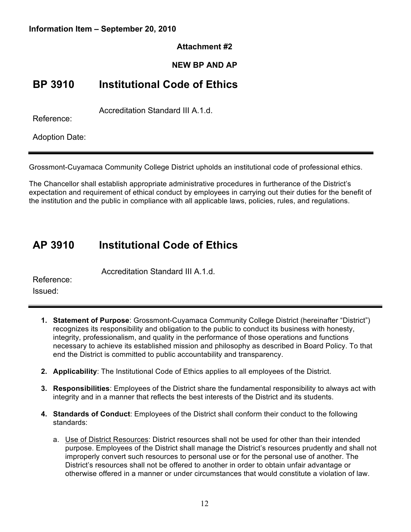#### **Information Item – September 20, 2010**

#### **Attachment #2**

## **NEW BP AND AP**

## **BP 3910 Institutional Code of Ethics**

Accreditation Standard III A.1.d.

Reference:

Adoption Date:

Grossmont-Cuyamaca Community College District upholds an institutional code of professional ethics.

The Chancellor shall establish appropriate administrative procedures in furtherance of the District's expectation and requirement of ethical conduct by employees in carrying out their duties for the benefit of the institution and the public in compliance with all applicable laws, policies, rules, and regulations.

## **AP 3910 Institutional Code of Ethics**

Accreditation Standard III A.1.d.

Reference: Issued:

- **1. Statement of Purpose**: Grossmont-Cuyamaca Community College District (hereinafter "District") recognizes its responsibility and obligation to the public to conduct its business with honesty, integrity, professionalism, and quality in the performance of those operations and functions necessary to achieve its established mission and philosophy as described in Board Policy. To that end the District is committed to public accountability and transparency.
- **2. Applicability**: The Institutional Code of Ethics applies to all employees of the District.
- **3. Responsibilities**: Employees of the District share the fundamental responsibility to always act with integrity and in a manner that reflects the best interests of the District and its students.
- **4. Standards of Conduct**: Employees of the District shall conform their conduct to the following standards:
	- a. Use of District Resources: District resources shall not be used for other than their intended purpose. Employees of the District shall manage the District's resources prudently and shall not improperly convert such resources to personal use or for the personal use of another. The District's resources shall not be offered to another in order to obtain unfair advantage or otherwise offered in a manner or under circumstances that would constitute a violation of law.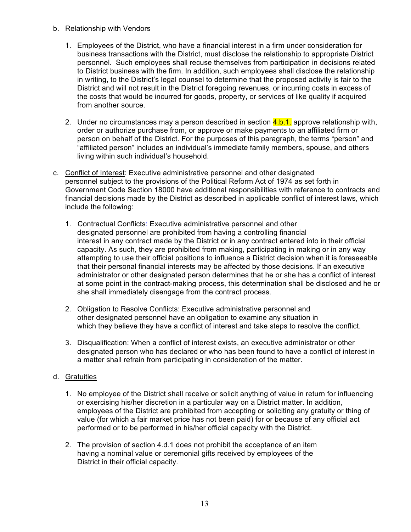#### b. Relationship with Vendors

- 1. Employees of the District, who have a financial interest in a firm under consideration for business transactions with the District, must disclose the relationship to appropriate District personnel. Such employees shall recuse themselves from participation in decisions related to District business with the firm. In addition, such employees shall disclose the relationship in writing, to the District's legal counsel to determine that the proposed activity is fair to the District and will not result in the District foregoing revenues, or incurring costs in excess of the costs that would be incurred for goods, property, or services of like quality if acquired from another source.
- 2. Under no circumstances may a person described in section  $\frac{4 \cdot b \cdot 1}{2}$  approve relationship with, order or authorize purchase from, or approve or make payments to an affiliated firm or person on behalf of the District. For the purposes of this paragraph, the terms "person" and "affiliated person" includes an individual's immediate family members, spouse, and others living within such individual's household.
- c. Conflict of Interest: Executive administrative personnel and other designated personnel subject to the provisions of the Political Reform Act of 1974 as set forth in Government Code Section 18000 have additional responsibilities with reference to contracts and financial decisions made by the District as described in applicable conflict of interest laws, which include the following:
	- 1. Contractual Conflicts: Executive administrative personnel and other designated personnel are prohibited from having a controlling financial interest in any contract made by the District or in any contract entered into in their official capacity. As such, they are prohibited from making, participating in making or in any way attempting to use their official positions to influence a District decision when it is foreseeable that their personal financial interests may be affected by those decisions. If an executive administrator or other designated person determines that he or she has a conflict of interest at some point in the contract-making process, this determination shall be disclosed and he or she shall immediately disengage from the contract process.
	- 2. Obligation to Resolve Conflicts: Executive administrative personnel and other designated personnel have an obligation to examine any situation in which they believe they have a conflict of interest and take steps to resolve the conflict.
	- 3. Disqualification: When a conflict of interest exists, an executive administrator or other designated person who has declared or who has been found to have a conflict of interest in a matter shall refrain from participating in consideration of the matter.

#### d. Gratuities

- 1. No employee of the District shall receive or solicit anything of value in return for influencing or exercising his/her discretion in a particular way on a District matter. In addition, employees of the District are prohibited from accepting or soliciting any gratuity or thing of value (for which a fair market price has not been paid) for or because of any official act performed or to be performed in his/her official capacity with the District.
- 2. The provision of section 4.d.1 does not prohibit the acceptance of an item having a nominal value or ceremonial gifts received by employees of the District in their official capacity.